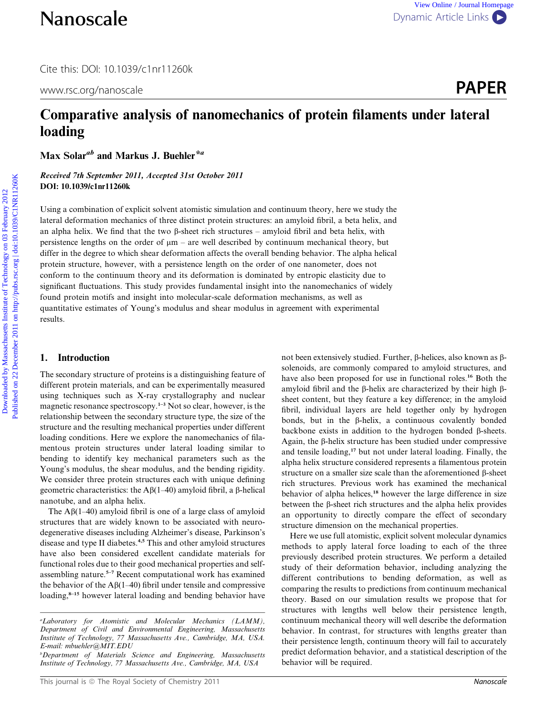Cite this: DOI: 10.1039/c1nr11260k

www.rsc.org/nanoscale **PAPER** 

# Comparative analysis of nanomechanics of protein filaments under lateral loading

Max Solar<sup>ab</sup> and Markus J. Buehler<sup>\*a</sup>

Received 7th September 2011, Accepted 31st October 2011 DOI: 10.1039/c1nr11260k

Using a combination of explicit solvent atomistic simulation and continuum theory, here we study the lateral deformation mechanics of three distinct protein structures: an amyloid fibril, a beta helix, and an alpha helix. We find that the two  $\beta$ -sheet rich structures – amyloid fibril and beta helix, with persistence lengths on the order of  $\mu$ m – are well described by continuum mechanical theory, but differ in the degree to which shear deformation affects the overall bending behavior. The alpha helical protein structure, however, with a persistence length on the order of one nanometer, does not conform to the continuum theory and its deformation is dominated by entropic elasticity due to significant fluctuations. This study provides fundamental insight into the nanomechanics of widely found protein motifs and insight into molecular-scale deformation mechanisms, as well as quantitative estimates of Young's modulus and shear modulus in agreement with experimental results. **Nanoscale**<br>
Downloaded by Mass Software and the set of the comparative and properties are the comparative analysis of nanomechanics of protein filaments under lateral loading<br>
Max Solar<sup>as</sup> and Markus J. Buelde<sup>s a</sup><br>
Max

# 1. Introduction

The secondary structure of proteins is a distinguishing feature of different protein materials, and can be experimentally measured using techniques such as X-ray crystallography and nuclear magnetic resonance spectroscopy.<sup>1-3</sup> Not so clear, however, is the relationship between the secondary structure type, the size of the structure and the resulting mechanical properties under different loading conditions. Here we explore the nanomechanics of filamentous protein structures under lateral loading similar to bending to identify key mechanical parameters such as the Young's modulus, the shear modulus, and the bending rigidity. We consider three protein structures each with unique defining geometric characteristics: the  $A\beta(1-40)$  amyloid fibril, a  $\beta$ -helical nanotube, and an alpha helix.

The  $\text{A}\beta(1-40)$  amyloid fibril is one of a large class of amyloid structures that are widely known to be associated with neurodegenerative diseases including Alzheimer's disease, Parkinson's disease and type II diabetes.<sup>4,5</sup> This and other amyloid structures have also been considered excellent candidate materials for functional roles due to their good mechanical properties and selfassembling nature.5–7 Recent computational work has examined the behavior of the  $A\beta(1-40)$  fibril under tensile and compressive loading,<sup>8-15</sup> however lateral loading and bending behavior have

not been extensively studied. Further,  $\beta$ -helices, also known as  $\beta$ solenoids, are commonly compared to amyloid structures, and have also been proposed for use in functional roles.<sup>16</sup> Both the amyloid fibril and the  $\beta$ -helix are characterized by their high  $\beta$ sheet content, but they feature a key difference; in the amyloid fibril, individual layers are held together only by hydrogen bonds, but in the  $\beta$ -helix, a continuous covalently bonded backbone exists in addition to the hydrogen bonded  $\beta$ -sheets. Again, the  $\beta$ -helix structure has been studied under compressive and tensile loading,<sup>17</sup> but not under lateral loading. Finally, the alpha helix structure considered represents a filamentous protein structure on a smaller size scale than the aforementioned B-sheet rich structures. Previous work has examined the mechanical behavior of alpha helices,<sup>18</sup> however the large difference in size between the  $\beta$ -sheet rich structures and the alpha helix provides an opportunity to directly compare the effect of secondary structure dimension on the mechanical properties.

Here we use full atomistic, explicit solvent molecular dynamics methods to apply lateral force loading to each of the three previously described protein structures. We perform a detailed study of their deformation behavior, including analyzing the different contributions to bending deformation, as well as comparing the results to predictions from continuum mechanical theory. Based on our simulation results we propose that for structures with lengths well below their persistence length, continuum mechanical theory will well describe the deformation behavior. In contrast, for structures with lengths greater than their persistence length, continuum theory will fail to accurately predict deformation behavior, and a statistical description of the behavior will be required.

a Laboratory for Atomistic and Molecular Mechanics (LAMM), Department of Civil and Environmental Engineering, Massachusetts Institute of Technology, 77 Massachusetts Ave., Cambridge, MA, USA. E-mail: mbuehler@MIT.EDU

b Department of Materials Science and Engineering, Massachusetts Institute of Technology, 77 Massachusetts Ave., Cambridge, MA, USA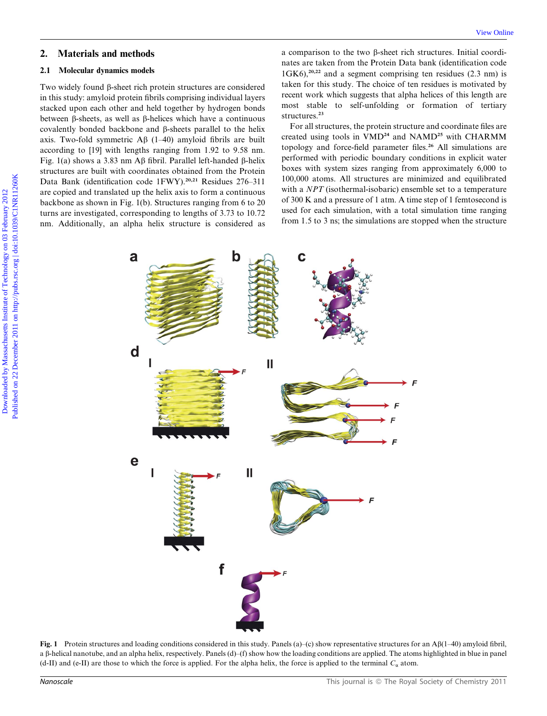# 2. Materials and methods

#### 2.1 Molecular dynamics models

Two widely found  $\beta$ -sheet rich protein structures are considered in this study: amyloid protein fibrils comprising individual layers stacked upon each other and held together by hydrogen bonds between b-sheets, as well as b-helices which have a continuous covalently bonded backbone and  $\beta$ -sheets parallel to the helix axis. Two-fold symmetric  $\overrightarrow{AB}$  (1–40) amyloid fibrils are built according to [19] with lengths ranging from 1.92 to 9.58 nm. Fig. 1(a) shows a 3.83 nm A $\beta$  fibril. Parallel left-handed  $\beta$ -helix structures are built with coordinates obtained from the Protein Data Bank (identification code 1FWY).<sup>20,21</sup> Residues 276-311 are copied and translated up the helix axis to form a continuous backbone as shown in Fig. 1(b). Structures ranging from 6 to 20 turns are investigated, corresponding to lengths of 3.73 to 10.72 nm. Additionally, an alpha helix structure is considered as a comparison to the two b-sheet rich structures. Initial coordinates are taken from the Protein Data bank (identification code  $1$ GK6),<sup>20,22</sup> and a segment comprising ten residues (2.3 nm) is taken for this study. The choice of ten residues is motivated by recent work which suggests that alpha helices of this length are most stable to self-unfolding or formation of tertiary structures.<sup>23</sup>

For all structures, the protein structure and coordinate files are created using tools in VMD<sup>24</sup> and NAMD<sup>25</sup> with CHARMM topology and force-field parameter files.<sup>26</sup> All simulations are performed with periodic boundary conditions in explicit water boxes with system sizes ranging from approximately 6,000 to 100,000 atoms. All structures are minimized and equilibrated with a NPT (isothermal-isobaric) ensemble set to a temperature of 300 K and a pressure of 1 atm. A time step of 1 femtosecond is used for each simulation, with a total simulation time ranging from 1.5 to 3 ns; the simulations are stopped when the structure



Fig. 1 Protein structures and loading conditions considered in this study. Panels (a)–(c) show representative structures for an A $\beta$ (1–40) amyloid fibril, a  $\beta$ -helical nanotube, and an alpha helix, respectively. Panels (d)–(f) show how the loading conditions are applied. The atoms highlighted in blue in panel (d-II) and (e-II) are those to which the force is applied. For the alpha helix, the force is applied to the terminal  $C_{\alpha}$  atom.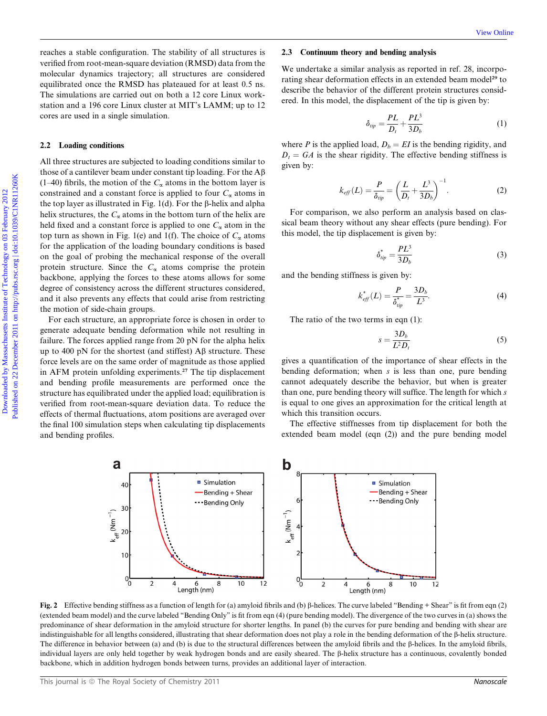reaches a stable configuration. The stability of all structures is verified from root-mean-square deviation (RMSD) data from the molecular dynamics trajectory; all structures are considered equilibrated once the RMSD has plateaued for at least 0.5 ns. The simulations are carried out on both a 12 core Linux workstation and a 196 core Linux cluster at MIT's LAMM; up to 12 cores are used in a single simulation.

#### 2.2 Loading conditions

All three structures are subjected to loading conditions similar to those of a cantilever beam under constant tip loading. For the  $A\beta$ (1–40) fibrils, the motion of the  $C_{\alpha}$  atoms in the bottom layer is constrained and a constant force is applied to four  $C_{\alpha}$  atoms in the top layer as illustrated in Fig. 1(d). For the  $\beta$ -helix and alpha helix structures, the  $C_{\alpha}$  atoms in the bottom turn of the helix are held fixed and a constant force is applied to one  $C_{\alpha}$  atom in the top turn as shown in Fig. 1(e) and 1(f). The choice of  $C_{\alpha}$  atoms for the application of the loading boundary conditions is based on the goal of probing the mechanical response of the overall protein structure. Since the  $C_{\alpha}$  atoms comprise the protein backbone, applying the forces to these atoms allows for some degree of consistency across the different structures considered, and it also prevents any effects that could arise from restricting the motion of side-chain groups. Constraint of the stability of all structures is 2.2 Conditions the stability of the stability of MASSD data for the stability of Mass and the stability and the stability of Technology on the stability of the bulk and the

For each structure, an appropriate force is chosen in order to generate adequate bending deformation while not resulting in failure. The forces applied range from 20 pN for the alpha helix up to 400 pN for the shortest (and stiffest)  $\mathbf{A}\beta$  structure. These force levels are on the same order of magnitude as those applied in AFM protein unfolding experiments.<sup>27</sup> The tip displacement and bending profile measurements are performed once the structure has equilibrated under the applied load; equilibration is verified from root-mean-square deviation data. To reduce the effects of thermal fluctuations, atom positions are averaged over the final 100 simulation steps when calculating tip displacements and bending profiles.

#### 2.3 Continuum theory and bending analysis

We undertake a similar analysis as reported in ref. 28, incorporating shear deformation effects in an extended beam model<sup>29</sup> to describe the behavior of the different protein structures considered. In this model, the displacement of the tip is given by:

$$
\delta_{tip} = \frac{PL}{D_t} + \frac{PL^3}{3D_b} \tag{1}
$$

where P is the applied load,  $D_b = EI$  is the bending rigidity, and  $D_t = GA$  is the shear rigidity. The effective bending stiffness is given by:

$$
k_{\text{eff}}(L) = \frac{P}{\delta_{\text{tip}}} = \left(\frac{L}{D_t} + \frac{L^3}{3D_b}\right)^{-1}.
$$
 (2)

For comparison, we also perform an analysis based on classical beam theory without any shear effects (pure bending). For this model, the tip displacement is given by:

$$
\delta_{tip}^* = \frac{PL^3}{3D_b} \tag{3}
$$

and the bending stiffness is given by:

$$
k_{\text{eff}}^*(L) = \frac{P}{\delta_{\text{tip}}^*} = \frac{3D_b}{L^3}.
$$
 (4)

The ratio of the two terms in eqn (1):

$$
s = \frac{3D_b}{L^2 D_t} \tag{5}
$$

gives a quantification of the importance of shear effects in the bending deformation; when  $s$  is less than one, pure bending cannot adequately describe the behavior, but when is greater than one, pure bending theory will suffice. The length for which s is equal to one gives an approximation for the critical length at which this transition occurs.

The effective stiffnesses from tip displacement for both the extended beam model (eqn (2)) and the pure bending model



Fig. 2 Effective bending stiffness as a function of length for (a) amyloid fibrils and (b)  $\beta$ -helices. The curve labeled "Bending + Shear" is fit from eqn (2) (extended beam model) and the curve labeled ''Bending Only'' is fit from eqn (4) (pure bending model). The divergence of the two curves in (a) shows the predominance of shear deformation in the amyloid structure for shorter lengths. In panel (b) the curves for pure bending and bending with shear are indistinguishable for all lengths considered, illustrating that shear deformation does not play a role in the bending deformation of the  $\beta$ -helix structure. The difference in behavior between (a) and (b) is due to the structural differences between the amyloid fibrils and the  $\beta$ -helices. In the amyloid fibrils, individual layers are only held together by weak hydrogen bonds and are easily sheared. The  $\beta$ -helix structure has a continuous, covalently bonded backbone, which in addition hydrogen bonds between turns, provides an additional layer of interaction.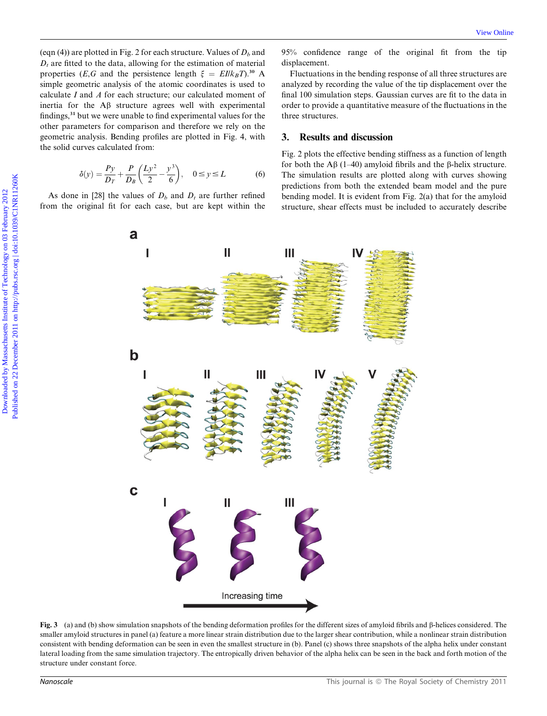(eqn (4)) are plotted in Fig. 2 for each structure. Values of  $D<sub>b</sub>$  and  $D_t$  are fitted to the data, allowing for the estimation of material properties (E,G and the persistence length  $\xi = E I/k_B T$ ).<sup>30</sup> A simple geometric analysis of the atomic coordinates is used to calculate I and A for each structure; our calculated moment of inertia for the Ab structure agrees well with experimental findings,<sup>31</sup> but we were unable to find experimental values for the other parameters for comparison and therefore we rely on the geometric analysis. Bending profiles are plotted in Fig. 4, with the solid curves calculated from:

$$
\delta(y) = \frac{Py}{D_T} + \frac{P}{D_B} \left( \frac{Ly^2}{2} - \frac{y^3}{6} \right), \quad 0 \le y \le L \tag{6}
$$

As done in [28] the values of  $D_b$  and  $D_t$  are further refined from the original fit for each case, but are kept within the 95% confidence range of the original fit from the tip displacement.

Fluctuations in the bending response of all three structures are analyzed by recording the value of the tip displacement over the final 100 simulation steps. Gaussian curves are fit to the data in order to provide a quantitative measure of the fluctuations in the three structures.

## 3. Results and discussion

Fig. 2 plots the effective bending stiffness as a function of length for both the A $\beta$  (1–40) amyloid fibrils and the  $\beta$ -helix structure. The simulation results are plotted along with curves showing predictions from both the extended beam model and the pure bending model. It is evident from Fig. 2(a) that for the amyloid structure, shear effects must be included to accurately describe



Fig. 3 (a) and (b) show simulation snapshots of the bending deformation profiles for the different sizes of amyloid fibrils and  $\beta$ -helices considered. The smaller amyloid structures in panel (a) feature a more linear strain distribution due to the larger shear contribution, while a nonlinear strain distribution consistent with bending deformation can be seen in even the smallest structure in (b). Panel (c) shows three snapshots of the alpha helix under constant lateral loading from the same simulation trajectory. The entropically driven behavior of the alpha helix can be seen in the back and forth motion of the structure under constant force.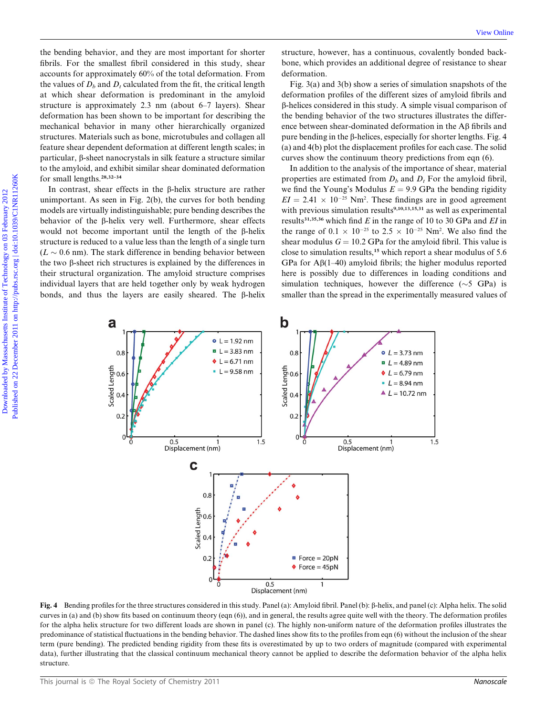the bending behavior, and they are most important for shorter fibrils. For the smallest fibril considered in this study, shear accounts for approximately 60% of the total deformation. From the values of  $D<sub>b</sub>$  and  $D<sub>t</sub>$  calculated from the fit, the critical length at which shear deformation is predominant in the amyloid structure is approximately 2.3 nm (about 6–7 layers). Shear deformation has been shown to be important for describing the mechanical behavior in many other hierarchically organized structures. Materials such as bone, microtubules and collagen all feature shear dependent deformation at different length scales; in particular, b-sheet nanocrystals in silk feature a structure similar to the amyloid, and exhibit similar shear dominated deformation for small lengths.28,32–34

In contrast, shear effects in the  $\beta$ -helix structure are rather unimportant. As seen in Fig. 2(b), the curves for both bending models are virtually indistinguishable; pure bending describes the behavior of the  $\beta$ -helix very well. Furthermore, shear effects would not become important until the length of the  $\beta$ -helix structure is reduced to a value less than the length of a single turn  $(L \sim 0.6$  nm). The stark difference in bending behavior between the two  $\beta$ -sheet rich structures is explained by the differences in their structural organization. The amyloid structure comprises individual layers that are held together only by weak hydrogen bonds, and thus the layers are easily sheared. The  $\beta$ -helix

structure, however, has a continuous, covalently bonded backbone, which provides an additional degree of resistance to shear deformation.

Fig. 3(a) and 3(b) show a series of simulation snapshots of the deformation profiles of the different sizes of amyloid fibrils and b-helices considered in this study. A simple visual comparison of the bending behavior of the two structures illustrates the difference between shear-dominated deformation in the Ab fibrils and pure bending in the  $\beta$ -helices, especially for shorter lengths. Fig. 4 (a) and 4(b) plot the displacement profiles for each case. The solid curves show the continuum theory predictions from eqn (6).

In addition to the analysis of the importance of shear, material properties are estimated from  $D_b$  and  $D_t$  For the amyloid fibril, we find the Young's Modulus  $E = 9.9$  GPa the bending rigidity  $EI = 2.41 \times 10^{-25}$  Nm<sup>2</sup>. These findings are in good agreement with previous simulation results<sup>9,10,13,15,31</sup> as well as experimental results<sup>31,35,36</sup> which find E in the range of 10 to 30 GPa and EI in the range of  $0.1 \times 10^{-25}$  to  $2.5 \times 10^{-25}$  Nm<sup>2</sup>. We also find the shear modulus  $G = 10.2$  GPa for the amyloid fibril. This value is close to simulation results,<sup>15</sup> which report a shear modulus of 5.6 GPa for  $\text{A}\beta(1-40)$  amyloid fibrils; the higher modulus reported here is possibly due to differences in loading conditions and simulation techniques, however the difference  $(\sim 5 \text{ GPa})$  is smaller than the spread in the experimentally measured values of



Fig. 4 Bending profiles for the three structures considered in this study. Panel (a): Amyloid fibril. Panel (b): b-helix, and panel (c): Alpha helix. The solid curves in (a) and (b) show fits based on continuum theory (eqn (6)), and in general, the results agree quite well with the theory. The deformation profiles for the alpha helix structure for two different loads are shown in panel (c). The highly non-uniform nature of the deformation profiles illustrates the predominance of statistical fluctuations in the bending behavior. The dashed lines show fits to the profiles from eqn (6) without the inclusion of the shear term (pure bending). The predicted bending rigidity from these fits is overestimated by up to two orders of magnitude (compared with experimental data), further illustrating that the classical continuum mechanical theory cannot be applied to describe the deformation behavior of the alpha helix structure.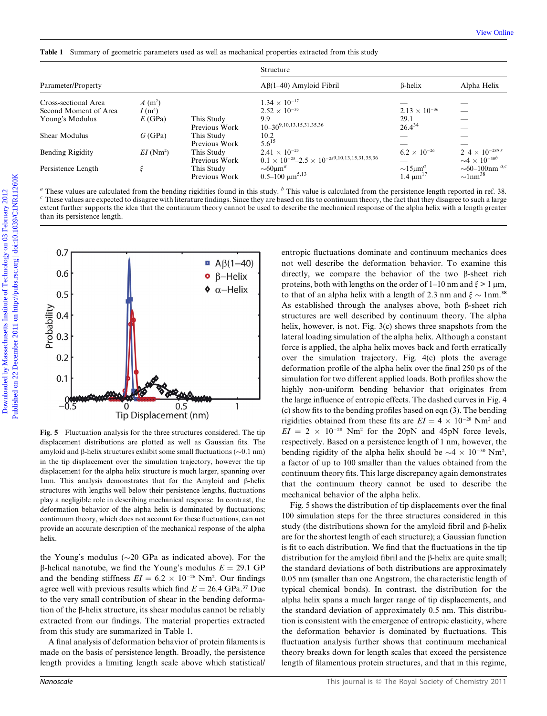|                         |                         |                                 | Structure                                                                                                                        |                                |                                |
|-------------------------|-------------------------|---------------------------------|----------------------------------------------------------------------------------------------------------------------------------|--------------------------------|--------------------------------|
| Parameter/Property      |                         |                                 | $A\beta(1-40)$ Amyloid Fibril                                                                                                    | $\beta$ -helix                 | Alpha Helix                    |
| Cross-sectional Area    | $A(m^2)$                |                                 | $1.34 \times 10^{-17}$                                                                                                           |                                |                                |
| Second Moment of Area   | I(m <sup>4</sup> )      |                                 | $2.52 \times 10^{-35}$                                                                                                           | $2.13 \times 10^{-36}$         |                                |
| Young's Modulus         | E(GPa)                  | This Study                      | 9.9<br>$10 - 30^{9,10,13,15,31,35,36}$                                                                                           | 29.1<br>$26.4^{34}$            |                                |
| Shear Modulus           | G(GPa)                  | Previous Work<br>This Study     | 10.2                                                                                                                             |                                |                                |
|                         |                         | Previous Work                   | $5.6^{15}$                                                                                                                       |                                |                                |
| <b>Bending Rigidity</b> | $EI$ (Nm <sup>2</sup> ) | This Study                      | $2.41 \times 10^{-25}$                                                                                                           | $6.2 \times 10^{-26}$          | $2 - 4 \times 10^{-28a,c}$     |
|                         |                         | Previous Work                   | $0.1 \times 10^{-25} - 2.5 \times 10^{-259,10,13,15,31,35,36}$                                                                   |                                | $\sim$ 4 × 10 <sup>-30b</sup>  |
| Persistence Length      | ξ                       | This Study                      | $\sim 60 \mu m^a$                                                                                                                | $\sim$ 15 $\mu$ m <sup>a</sup> | $\sim$ 60–100nm <sup>a,c</sup> |
|                         |                         | Previous Work                   | $0.5 - 100 \mu m^{5.13}$                                                                                                         | 1.4 $\mu$ m <sup>17</sup>      | $\sim$ 1nm <sup>38</sup>       |
|                         |                         |                                 |                                                                                                                                  |                                |                                |
| 0.7                     |                         |                                 | entropic fluctuations dominate and continuum mechanics does                                                                      |                                |                                |
|                         |                         | $\blacksquare$ A $\beta$ (1-40) | not well describe the deformation behavior. To examine this                                                                      |                                |                                |
| 0.6                     |                         | $\beta$ -Helix                  | directly, we compare the behavior of the two $\beta$ -sheet rich                                                                 |                                |                                |
|                         |                         | $\bullet$ $\alpha$ -Helix       | proteins, both with lengths on the order of 1–10 nm and $\xi > 1 \mu m$ ,                                                        |                                |                                |
| 0.5                     |                         |                                 | to that of an alpha helix with a length of 2.3 nm and $\xi \sim 1$ nm. <sup>38</sup>                                             |                                |                                |
|                         |                         |                                 | As established through the analyses above, both $\beta$ -sheet rich                                                              |                                |                                |
| 0.4                     |                         |                                 | structures are well described by continuum theory. The alpha                                                                     |                                |                                |
|                         |                         |                                 | helix, however, is not. Fig. 3(c) shows three snapshots from the                                                                 |                                |                                |
| 0.3                     |                         |                                 | lateral loading simulation of the alpha helix. Although a constant                                                               |                                |                                |
| Probability             |                         |                                 | force is applied, the alpha helix moves back and forth erratically                                                               |                                |                                |
| 0.2                     |                         |                                 | over the simulation trajectory. Fig. 4(c) plots the average                                                                      |                                |                                |
|                         |                         |                                 |                                                                                                                                  |                                |                                |
|                         |                         |                                 | deformation profile of the alpha helix over the final 250 ps of the                                                              |                                |                                |
| 0.1                     |                         |                                 | simulation for two different applied loads. Both profiles show the                                                               |                                |                                |
|                         |                         |                                 | highly non-uniform bending behavior that originates from<br>the large influence of entropic effects. The dashed curves in Fig. 4 |                                |                                |



Fig. 5 Fluctuation analysis for the three structures considered. The tip displacement distributions are plotted as well as Gaussian fits. The amyloid and  $\beta$ -helix structures exhibit some small fluctuations ( $\sim$ 0.1 nm) in the tip displacement over the simulation trajectory, however the tip displacement for the alpha helix structure is much larger, spanning over 1nm. This analysis demonstrates that for the Amyloid and  $\beta$ -helix structures with lengths well below their persistence lengths, fluctuations play a negligible role in describing mechanical response. In contrast, the deformation behavior of the alpha helix is dominated by fluctuations; continuum theory, which does not account for these fluctuations, can not provide an accurate description of the mechanical response of the alpha helix.

the Young's modulus ( $\sim$ 20 GPa as indicated above). For the  $\beta$ -helical nanotube, we find the Young's modulus  $E = 29.1$  GP and the bending stiffness  $EI = 6.2 \times 10^{-26}$  Nm<sup>2</sup>. Our findings agree well with previous results which find  $E = 26.4 \text{ GPa.}^{37}$  Due to the very small contribution of shear in the bending deformation of the  $\beta$ -helix structure, its shear modulus cannot be reliably extracted from our findings. The material properties extracted from this study are summarized in Table 1.

A final analysis of deformation behavior of protein filaments is made on the basis of persistence length. Broadly, the persistence length provides a limiting length scale above which statistical/

entropic fluctuations dominate and continuum mechanics does not well describe the deformation behavior. To examine this directly, we compare the behavior of the two  $\beta$ -sheet rich proteins, both with lengths on the order of 1–10 nm and  $\xi > 1 \mu m$ , to that of an alpha helix with a length of 2.3 nm and  $\xi \sim 1$ nm.<sup>38</sup> As established through the analyses above, both  $\beta$ -sheet rich structures are well described by continuum theory. The alpha helix, however, is not. Fig. 3(c) shows three snapshots from the lateral loading simulation of the alpha helix. Although a constant force is applied, the alpha helix moves back and forth erratically over the simulation trajectory. Fig. 4(c) plots the average deformation profile of the alpha helix over the final 250 ps of the simulation for two different applied loads. Both profiles show the highly non-uniform bending behavior that originates from the large influence of entropic effects. The dashed curves in Fig. 4 (c) show fits to the bending profiles based on eqn (3). The bending rigidities obtained from these fits are  $EI = 4 \times 10^{-28}$  Nm<sup>2</sup> and  $EI = 2 \times 10^{-28}$  Nm<sup>2</sup> for the 20pN and 45pN force levels, respectively. Based on a persistence length of 1 nm, however, the bending rigidity of the alpha helix should be  $\sim$  4  $\times$  10<sup>-30</sup> Nm<sup>2</sup>, a factor of up to 100 smaller than the values obtained from the continuum theory fits. This large discrepancy again demonstrates that the continuum theory cannot be used to describe the mechanical behavior of the alpha helix.

Fig. 5 shows the distribution of tip displacements over the final 100 simulation steps for the three structures considered in this study (the distributions shown for the amyloid fibril and  $\beta$ -helix are for the shortest length of each structure); a Gaussian function is fit to each distribution. We find that the fluctuations in the tip distribution for the amyloid fibril and the  $\beta$ -helix are quite small; the standard deviations of both distributions are approximately 0.05 nm (smaller than one Angstrom, the characteristic length of typical chemical bonds). In contrast, the distribution for the alpha helix spans a much larger range of tip displacements, and the standard deviation of approximately 0.5 nm. This distribution is consistent with the emergence of entropic elasticity, where the deformation behavior is dominated by fluctuations. This fluctuation analysis further shows that continuum mechanical theory breaks down for length scales that exceed the persistence length of filamentous protein structures, and that in this regime,